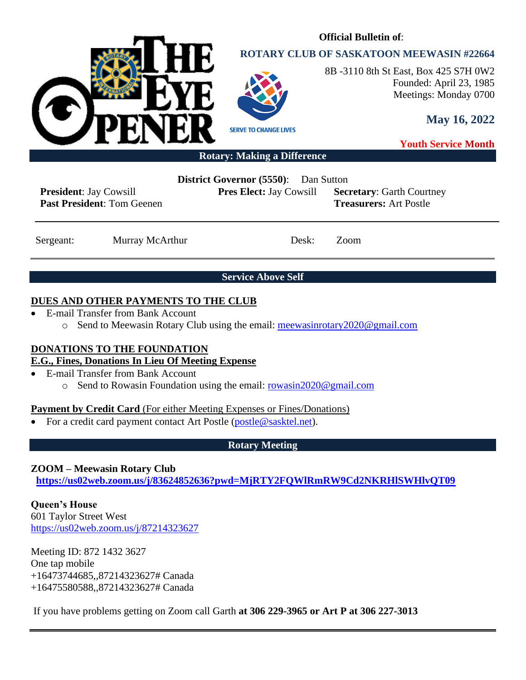

# **ROTARY CLUB OF SASKATOON MEEWASIN #22664**

**Official Bulletin of**:



8B -3110 8th St East, Box 425 S7H 0W2 Founded: April 23, 1985 Meetings: Monday 0700

**May 16, 2022**

**Youth Service Month**

#### **Rotary: Making a Difference**

**President**: Jay Cowsill **Past President**: Tom Geenen **District Governor (5550)**: Dan Sutton

**Pres Elect:** Jay Cowsill **Secretary**: Garth Courtney **Treasurers:** Art Postle

Sergeant: Murray McArthur Desk: Zoom

**Service Above Self**

## **DUES AND OTHER PAYMENTS TO THE CLUB**

- E-mail Transfer from Bank Account
	- o Send to Meewasin Rotary Club using the email: [meewasinrotary2020@gmail.com](mailto:meewasinrotary2020@gmail.com)

## **DONATIONS TO THE FOUNDATION**

# **E.G., Fines, Donations In Lieu Of Meeting Expense**

- E-mail Transfer from Bank Account
	- o Send to Rowasin Foundation using the email: [rowasin2020@gmail.com](mailto:rowasin2020@gmail.com)

## **Payment by Credit Card** (For either Meeting Expenses or Fines/Donations)

• For a credit card payment contact Art Postle [\(postle@sasktel.net\)](mailto:postle@sasktel.net).

## **Rotary Meeting**

## **ZOOM – Meewasin Rotary Club**

**[https://us02web.zoom.us/j/83624852636?pwd=MjRTY2FQWlRmRW9Cd2NKRHlSWHlvQT09](https://can01.safelinks.protection.outlook.com/?url=https%3A%2F%2Fus02web.zoom.us%2Fj%2F83624852636%3Fpwd%3DMjRTY2FQWlRmRW9Cd2NKRHlSWHlvQT09&data=04%7C01%7Ccpanko%40commonsenselawyer.com%7Ced41e005c3ab452d217408d8c53a6695%7C652c50d160e04e60a9982b6be68ca4a0%7C0%7C0%7C637476201917572504%7CUnknown%7CTWFpbGZsb3d8eyJWIjoiMC4wLjAwMDAiLCJQIjoiV2luMzIiLCJBTiI6Ik1haWwiLCJXVCI6Mn0%3D%7C3000&sdata=%2BasZ3EBpOHW4P4lXdj%2FC8%2FI8sU%2F5jZjAxSca541DwMc%3D&reserved=0)**

**Queen's House** 601 Taylor Street West <https://us02web.zoom.us/j/87214323627>

Meeting ID: 872 1432 3627 One tap mobile +16473744685,,87214323627# Canada +16475580588,,87214323627# Canada

If you have problems getting on Zoom call Garth **at 306 229-3965 or Art P at 306 227-3013**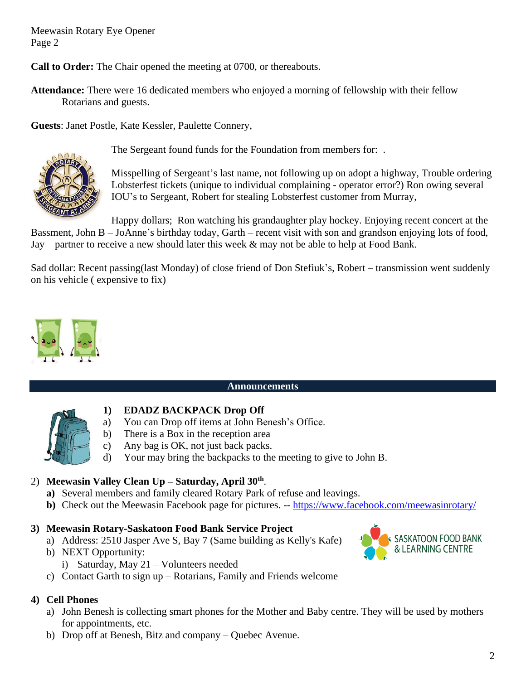Meewasin Rotary Eye Opener Page 2

**Call to Order:** The Chair opened the meeting at 0700, or thereabouts.

**Attendance:** There were 16 dedicated members who enjoyed a morning of fellowship with their fellow Rotarians and guests.

**Guests**: Janet Postle, Kate Kessler, Paulette Connery,



The Sergeant found funds for the Foundation from members for: .

Misspelling of Sergeant's last name, not following up on adopt a highway, Trouble ordering Lobsterfest tickets (unique to individual complaining - operator error?) Ron owing several IOU's to Sergeant, Robert for stealing Lobsterfest customer from Murray,

Happy dollars; Ron watching his grandaughter play hockey. Enjoying recent concert at the Bassment, John B – JoAnne's birthday today, Garth – recent visit with son and grandson enjoying lots of food, Jay – partner to receive a new should later this week  $\&$  may not be able to help at Food Bank.

Sad dollar: Recent passing(last Monday) of close friend of Don Stefiuk's, Robert – transmission went suddenly on his vehicle ( expensive to fix)



## **Announcements**



- **1) EDADZ BACKPACK Drop Off**
- a) You can Drop off items at John Benesh's Office.
- b) There is a Box in the reception area
- c) Any bag is OK, not just back packs.
- d) Your may bring the backpacks to the meeting to give to John B.

## 2) **Meewasin Valley Clean Up – Saturday, April 30th** .

- **a)** Several members and family cleared Rotary Park of refuse and leavings.
- **b**) Check out the Meewasin Facebook page for pictures. -- <https://www.facebook.com/meewasinrotary/>

## **3) Meewasin Rotary-Saskatoon Food Bank Service Project**

- a) Address: 2510 Jasper Ave S, Bay 7 (Same building as Kelly's Kafe)
- b) NEXT Opportunity: i) Saturday, May 21 – Volunteers needed



## **4) Cell Phones**

- a) John Benesh is collecting smart phones for the Mother and Baby centre. They will be used by mothers for appointments, etc.
- b) Drop off at Benesh, Bitz and company Quebec Avenue.

SASKATOON FOOD BANK<br>& LEARNING CENTRE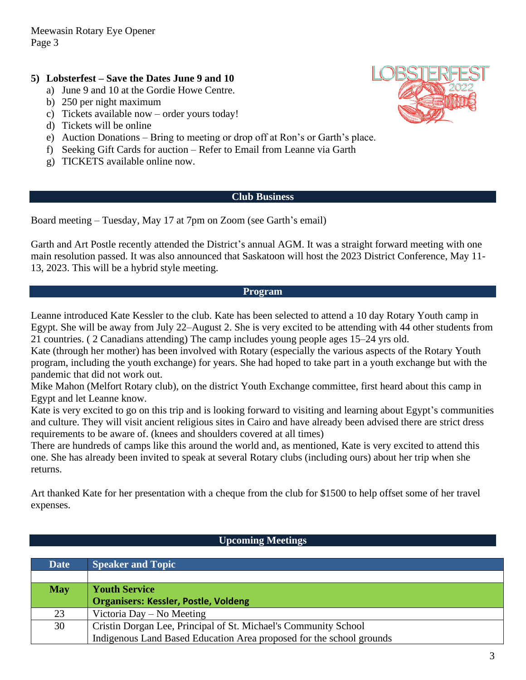# **5) Lobsterfest – Save the Dates June 9 and 10**

- a) June 9 and 10 at the Gordie Howe Centre.
- b) 250 per night maximum
- c) Tickets available now order yours today!
- d) Tickets will be online
- e) Auction Donations Bring to meeting or drop off at Ron's or Garth's place.
- f) Seeking Gift Cards for auction Refer to Email from Leanne via Garth
- g) TICKETS available online now.

#### **Club Business**

Board meeting – Tuesday, May 17 at 7pm on Zoom (see Garth's email)

Garth and Art Postle recently attended the District's annual AGM. It was a straight forward meeting with one main resolution passed. It was also announced that Saskatoon will host the 2023 District Conference, May 11- 13, 2023. This will be a hybrid style meeting.

#### **Program**

Leanne introduced Kate Kessler to the club. Kate has been selected to attend a 10 day Rotary Youth camp in Egypt. She will be away from July 22–August 2. She is very excited to be attending with 44 other students from 21 countries. ( 2 Canadians attending) The camp includes young people ages 15–24 yrs old.

Kate (through her mother) has been involved with Rotary (especially the various aspects of the Rotary Youth program, including the youth exchange) for years. She had hoped to take part in a youth exchange but with the pandemic that did not work out.

Mike Mahon (Melfort Rotary club), on the district Youth Exchange committee, first heard about this camp in Egypt and let Leanne know.

Kate is very excited to go on this trip and is looking forward to visiting and learning about Egypt's communities and culture. They will visit ancient religious sites in Cairo and have already been advised there are strict dress requirements to be aware of. (knees and shoulders covered at all times)

There are hundreds of camps like this around the world and, as mentioned, Kate is very excited to attend this one. She has already been invited to speak at several Rotary clubs (including ours) about her trip when she returns.

Art thanked Kate for her presentation with a cheque from the club for \$1500 to help offset some of her travel expenses.

## **Upcoming Meetings**

| <b>Date</b> | <b>Speaker and Topic</b>                                             |  |
|-------------|----------------------------------------------------------------------|--|
|             |                                                                      |  |
| <b>May</b>  | <b>Youth Service</b>                                                 |  |
|             | <b>Organisers: Kessler, Postle, Voldeng</b>                          |  |
| 23          | Victoria Day – No Meeting                                            |  |
| 30          | Cristin Dorgan Lee, Principal of St. Michael's Community School      |  |
|             | Indigenous Land Based Education Area proposed for the school grounds |  |

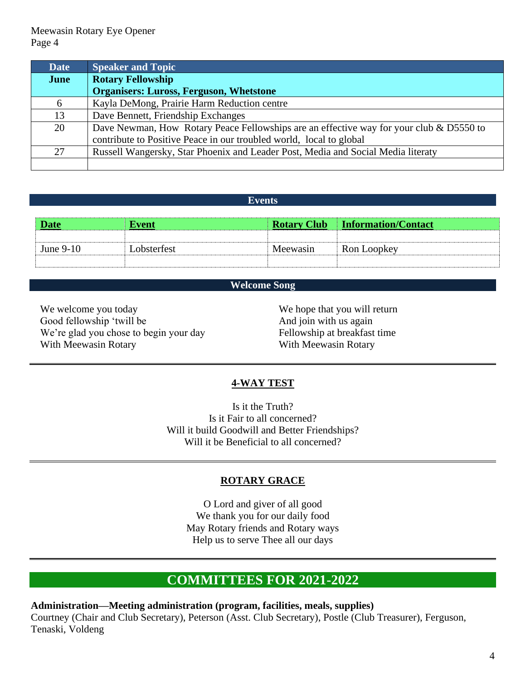Meewasin Rotary Eye Opener Page 4

| <b>Date</b> | <b>Speaker and Topic</b>                                                                |
|-------------|-----------------------------------------------------------------------------------------|
| June        | <b>Rotary Fellowship</b>                                                                |
|             | <b>Organisers: Luross, Ferguson, Whetstone</b>                                          |
| 6           | Kayla DeMong, Prairie Harm Reduction centre                                             |
| 13          | Dave Bennett, Friendship Exchanges                                                      |
| 20          | Dave Newman, How Rotary Peace Fellowships are an effective way for your club & D5550 to |
|             | contribute to Positive Peace in our troubled world, local to global                     |
| 27          | Russell Wangersky, Star Phoenix and Leader Post, Media and Social Media literaty        |
|             |                                                                                         |

#### **Events**

| <b>Date</b> | Event       |          | <b>Rotary Club Information/Contact</b> |
|-------------|-------------|----------|----------------------------------------|
|             |             |          |                                        |
| June $9-10$ | Lobsterfest | Meewasin | Ron Loopkey                            |
|             |             |          |                                        |

#### **Welcome Song**

We welcome you today Good fellowship 'twill be We're glad you chose to begin your day With Meewasin Rotary

We hope that you will return And join with us again Fellowship at breakfast time With Meewasin Rotary

#### **4-WAY TEST**

Is it the Truth? Is it Fair to all concerned? Will it build Goodwill and Better Friendships? Will it be Beneficial to all concerned?

#### **ROTARY GRACE**

O Lord and giver of all good We thank you for our daily food May Rotary friends and Rotary ways Help us to serve Thee all our days

# **COMMITTEES FOR 2021-2022**

**Administration—Meeting administration (program, facilities, meals, supplies)** Courtney (Chair and Club Secretary), Peterson (Asst. Club Secretary), Postle (Club Treasurer), Ferguson, Tenaski, Voldeng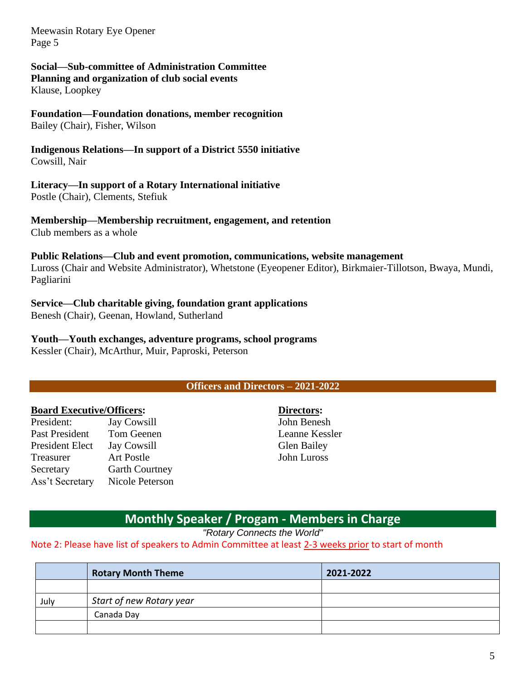Meewasin Rotary Eye Opener Page 5

## **Social—Sub-committee of Administration Committee**

**Planning and organization of club social events** Klause, Loopkey

# **Foundation—Foundation donations, member recognition**

Bailey (Chair), Fisher, Wilson

#### **Indigenous Relations—In support of a District 5550 initiative** Cowsill, Nair

## **Literacy—In support of a Rotary International initiative**

Postle (Chair), Clements, Stefiuk

# **Membership—Membership recruitment, engagement, and retention**

Club members as a whole

#### **Public Relations—Club and event promotion, communications, website management**

Luross (Chair and Website Administrator), Whetstone (Eyeopener Editor), Birkmaier-Tillotson, Bwaya, Mundi, Pagliarini

# **Service—Club charitable giving, foundation grant applications**

Benesh (Chair), Geenan, Howland, Sutherland

**Youth—Youth exchanges, adventure programs, school programs** Kessler (Chair), McArthur, Muir, Paproski, Peterson

## **Officers and Directors – 2021-2022**

## **Board Executive/Officers:**

| <b>Jay Cowsill</b>    |
|-----------------------|
| Tom Geenen            |
| <b>Jay Cowsill</b>    |
| <b>Art Postle</b>     |
| <b>Garth Courtney</b> |
| Nicole Peterson       |
|                       |

**Directors:** John Benesh Leanne Kessler Glen Bailey John Luross

# **Monthly Speaker / Progam - Members in Charge**

*"Rotary Connects the World"*

#### Note 2: Please have list of speakers to Admin Committee at least 2-3 weeks prior to start of month

|      | <b>Rotary Month Theme</b> | 2021-2022 |
|------|---------------------------|-----------|
|      |                           |           |
| July | Start of new Rotary year  |           |
|      | Canada Day                |           |
|      |                           |           |